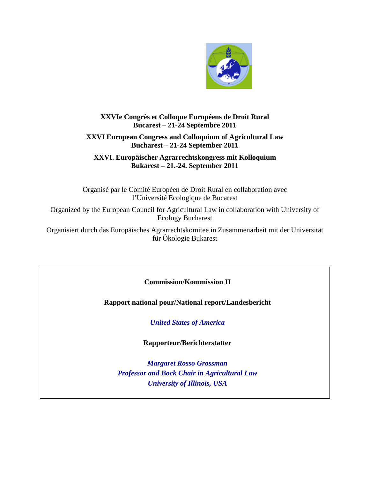

# **XXVIe Congrès et Colloque Européens de Droit Rural Bucarest – 21-24 Septembre 2011**

## **XXVI European Congress and Colloquium of Agricultural Law Bucharest – 21-24 September 2011**

**XXVI. Europäischer Agrarrechtskongress mit Kolloquium Bukarest – 21.-24. September 2011**

Organisé par le Comité Européen de Droit Rural en collaboration avec l'Université Ecologique de Bucarest

Organized by the European Council for Agricultural Law in collaboration with University of Ecology Bucharest

Organisiert durch das Europäisches Agrarrechtskomitee in Zusammenarbeit mit der Universität für Ôkologie Bukarest

**Commission/Kommission II**

**Rapport national pour/National report/Landesbericht**

*United States of America*

**Rapporteur/Berichterstatter**

*Margaret Rosso Grossman Professor and Bock Chair in Agricultural Law University of Illinois, USA*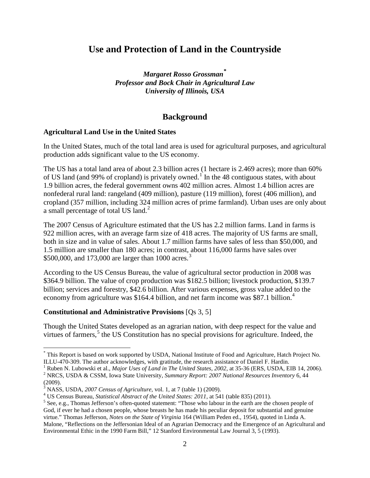# **Use and Protection of Land in the Countryside**

*Margaret Rosso Grossman***[\\*](#page-1-0)** *Professor and Bock Chair in Agricultural Law University of Illinois, USA*

# **Background**

#### **Agricultural Land Use in the United States**

In the United States, much of the total land area is used for agricultural purposes, and agricultural production adds significant value to the US economy.

The US has a total land area of about 2.3 billion acres (1 hectare is 2.469 acres); more than 60% of US land (and 99% of cropland) is privately owned.<sup>[1](#page-1-1)</sup> In the 48 contiguous states, with about 1.9 billion acres, the federal government owns 402 million acres. Almost 1.4 billion acres are nonfederal rural land: rangeland (409 million), pasture (119 million), forest (406 million), and cropland (357 million, including 324 million acres of prime farmland). Urban uses are only about a small percentage of total US land.<sup>[2](#page-1-2)</sup>

The 2007 Census of Agriculture estimated that the US has 2.2 million farms. Land in farms is 922 million acres, with an average farm size of 418 acres. The majority of US farms are small, both in size and in value of sales. About 1.7 million farms have sales of less than \$50,000, and 1.5 million are smaller than 180 acres; in contrast, about 116,000 farms have sales over \$500,000, and 17[3](#page-1-3),000 are larger than 1000 acres.<sup>3</sup>

According to the US Census Bureau, the value of agricultural sector production in 2008 was \$364.9 billion. The value of crop production was \$182.5 billion; livestock production, \$139.7 billion; services and forestry, \$42.6 billion. After various expenses, gross value added to the economy from agriculture was \$16[4](#page-1-4).4 billion, and net farm income was \$87.1 billion.<sup>4</sup>

#### **Constitutional and Administrative Provisions** [Qs 3, 5]

Though the United States developed as an agrarian nation, with deep respect for the value and virtues of farmers,<sup>[5](#page-1-5)</sup> the US Constitution has no special provisions for agriculture. Indeed, the

<span id="page-1-0"></span> <sup>\*</sup> This Report is based on work supported by USDA, National Institute of Food and Agriculture, Hatch Project No. ILLU-470-309. The author acknowledges, with gratitude, the research assistance of Daniel F. Hardin.<br><sup>1</sup> Ruben N. Lubowski et al., *Major Uses of Land in The United States, 2002*, at 35-36 (ERS, USDA, EIB 14, 2006).

<span id="page-1-1"></span><sup>&</sup>lt;sup>2</sup> NRCS, USDA & CSSM, Iowa State University, Summary Report: 2007 National Resources Inventory 6, 44

<span id="page-1-2"></span><sup>(2009).&</sup>lt;br><sup>3</sup> NASS, USDA, 2007 Census of Agriculture, vol. 1, at 7 (table 1) (2009).<br><sup>4</sup> US Census Bureau, *Statistical Abstract of the United States: 2011*, at 541 (table 835) (2011).<br><sup>5</sup> See, e.g., Thomas Jefferson's ofte

<span id="page-1-3"></span>

<span id="page-1-4"></span>

<span id="page-1-5"></span>God, if ever he had a chosen people, whose breasts he has made his peculiar deposit for substantial and genuine virtue." Thomas Jefferson, *Notes on the State of Virginia* 164 (William Peden ed., 1954), quoted in Linda A. Malone, "Reflections on the Jeffersonian Ideal of an Agrarian Democracy and the Emergence of an Agricultural and Environmental Ethic in the 1990 Farm Bill," 12 Stanford Environmental Law Journal 3, 5 (1993).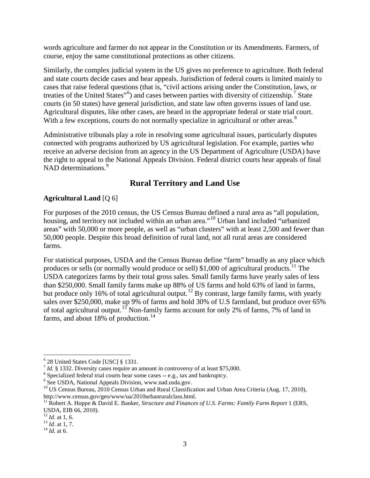words agriculture and farmer do not appear in the Constitution or its Amendments. Farmers, of course, enjoy the same constitutional protections as other citizens.

Similarly, the complex judicial system in the US gives no preference to agriculture. Both federal and state courts decide cases and hear appeals. Jurisdiction of federal courts is limited mainly to cases that raise federal questions (that is, "civil actions arising under the Constitution, laws, or treaties of the United States"<sup>[6](#page-2-0)</sup>) and cases between parties with diversity of citizenship.<sup>[7](#page-2-1)</sup> State courts (in 50 states) have general jurisdiction, and state law often governs issues of land use. Agricultural disputes, like other cases, are heard in the appropriate federal or state trial court. With a few exceptions, courts do not normally specialize in agricultural or other areas.<sup>[8](#page-2-2)</sup>

Administrative tribunals play a role in resolving some agricultural issues, particularly disputes connected with programs authorized by US agricultural legislation. For example, parties who receive an adverse decision from an agency in the US Department of Agriculture (USDA) have the right to appeal to the National Appeals Division. Federal district courts hear appeals of final NAD determinations.<sup>[9](#page-2-3)</sup>

# **Rural Territory and Land Use**

## **Agricultural Land** [Q 6]

For purposes of the 2010 census, the US Census Bureau defined a rural area as "all population, housing, and territory not included within an urban area."<sup>[10](#page-2-4)</sup> Urban land included "urbanized areas" with 50,000 or more people, as well as "urban clusters" with at least 2,500 and fewer than 50,000 people. Despite this broad definition of rural land, not all rural areas are considered farms.

For statistical purposes, USDA and the Census Bureau define "farm" broadly as any place which produces or sells (or normally would produce or sell) \$1,000 of agricultural products.<sup>[11](#page-2-5)</sup> The USDA categorizes farms by their total gross sales. Small family farms have yearly sales of less than \$250,000. Small family farms make up 88% of US farms and hold 63% of land in farms, but produce only 16% of total agricultural output.<sup>[12](#page-2-6)</sup> By contrast, large family farms, with yearly sales over \$250,000, make up 9% of farms and hold 30% of U.S farmland, but produce over 65% of total agricultural output.<sup>[13](#page-2-7)</sup> Non-family farms account for only 2% of farms, 7% of land in farms, and about 18% of production.<sup>[14](#page-2-8)</sup>

<span id="page-2-1"></span><span id="page-2-0"></span><sup>&</sup>lt;sup>6</sup> 28 United States Code [USC] § 1331.<br>
<sup>7</sup> *Id.* § 1332. Diversity cases require an amount in controversy of at least \$75,000.<br>
<sup>8</sup> Specialized federal trial courts hear some cases -- e.g., tax and bankruptcy.<br>
<sup>9</sup> See

<span id="page-2-2"></span>

<span id="page-2-4"></span><span id="page-2-3"></span><sup>&</sup>lt;sup>10</sup> US Census Bureau, 2010 Census Urban and Rural Classification and Urban Area Criteria (Aug. 17, 2010), http://www.census.gov/geo/www/ua/2010urbanruralclass.html.

<span id="page-2-5"></span><sup>&</sup>lt;sup>11</sup> Robert A. Hoppe & David E. Banker, *Structure and Finances of U.S. Farms: Family Farm Report* 1 (ERS, USDA, EIB 66, 2010).<br><sup>12</sup> *Id.* at 1, 6.

<span id="page-2-6"></span>

<span id="page-2-7"></span> $\frac{13}{14}$  *Id.* at 1, 7. 14 *Id.* at 6.

<span id="page-2-8"></span>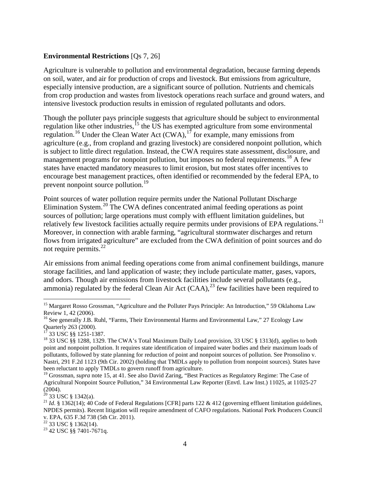#### **Environmental Restrictions** [Qs 7, 26]

Agriculture is vulnerable to pollution and environmental degradation, because farming depends on soil, water, and air for production of crops and livestock. But emissions from agriculture, especially intensive production, are a significant source of pollution. Nutrients and chemicals from crop production and wastes from livestock operations reach surface and ground waters, and intensive livestock production results in emission of regulated pollutants and odors.

Though the polluter pays principle suggests that agriculture should be subject to environmental regulation like other industries,<sup>[15](#page-3-0)</sup> the US has exempted agriculture from some environmental regulation.<sup>[16](#page-3-1)</sup> Under the Clean Water Act  $(CWA)$ ,  $^{17}$  $^{17}$  $^{17}$  for example, many emissions from agriculture (e.g., from cropland and grazing livestock) are considered nonpoint pollution, which is subject to little direct regulation. Instead, the CWA requires state assessment, disclosure, and management programs for nonpoint pollution, but imposes no federal requirements.<sup>[18](#page-3-3)</sup> A few states have enacted mandatory measures to limit erosion, but most states offer incentives to encourage best management practices, often identified or recommended by the federal EPA, to prevent nonpoint source pollution.<sup>[19](#page-3-4)</sup>

Point sources of water pollution require permits under the National Pollutant Discharge Elimination System.<sup>[20](#page-3-5)</sup> The CWA defines concentrated animal feeding operations as point sources of pollution; large operations must comply with effluent limitation guidelines, but relatively few livestock facilities actually require permits under provisions of EPA regulations.<sup>[21](#page-3-6)</sup> Moreover, in connection with arable farming, "agricultural stormwater discharges and return flows from irrigated agriculture" are excluded from the CWA definition of point sources and do not require permits.<sup>[22](#page-3-7)</sup>

Air emissions from animal feeding operations come from animal confinement buildings, manure storage facilities, and land application of waste; they include particulate matter, gases, vapors, and odors. Though air emissions from livestock facilities include several pollutants (e.g., ammonia) regulated by the federal Clean Air Act  $(CAA)$ ,<sup>[23](#page-3-8)</sup> few facilities have been required to

<span id="page-3-0"></span><sup>&</sup>lt;sup>15</sup> Margaret Rosso Grossman, "Agriculture and the Polluter Pays Principle: An Introduction," 59 Oklahoma Law Review 1, 42 (2006).

<span id="page-3-1"></span><sup>&</sup>lt;sup>16</sup> See generally J.B. Ruhl, "Farms, Their Environmental Harms and Environmental Law," 27 Ecology Law Quarterly 263 (2000).<br><sup>17</sup> 33 USC §§ 1251-1387.

<span id="page-3-3"></span><span id="page-3-2"></span><sup>&</sup>lt;sup>18</sup> 33 USC §§ 1288, 1329. The CWA's Total Maximum Daily Load provision, 33 USC § 1313(d), applies to both point and nonpoint pollution. It requires state identification of impaired water bodies and their maximum loads of pollutants, followed by state planning for reduction of point and nonpoint sources of pollution. See Pronsolino v. Nastri, 291 F.2d 1123 (9th Cir. 2002) (holding that TMDLs apply to pollution from nonpoint sources). States have been reluctant to apply TMDLs to govern runoff from agriculture.

<span id="page-3-4"></span><sup>&</sup>lt;sup>19</sup> Grossman, *supra* note 15, at 41. See also David Zaring, "Best Practices as Regulatory Regime: The Case of Agricultural Nonpoint Source Pollution," 34 Environmental Law Reporter (Envtl. Law Inst.) 11025, at 11025-27  $(2004)$ .<br><sup>20</sup> 33 USC § 1342(a).

<span id="page-3-6"></span><span id="page-3-5"></span><sup>&</sup>lt;sup>21</sup> *Id.* § 1362(14); 40 Code of Federal Regulations [CFR] parts 122 & 412 (governing effluent limitation guidelines, NPDES permits). Recent litigation will require amendment of CAFO regulations. National Pork Producers Council v. EPA, 635 F.3d 738 (5th Cir. 2011).<br><sup>22</sup> 33 USC § 1362(14).

<span id="page-3-7"></span>

<span id="page-3-8"></span> $23$  42 USC §§ 7401-7671q.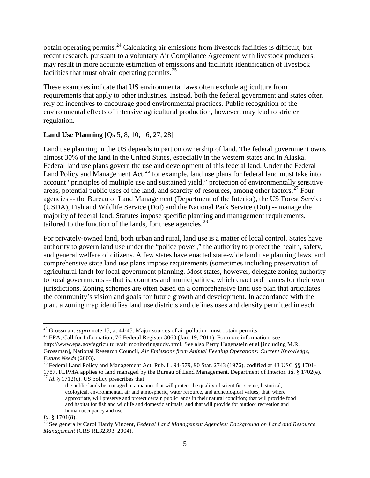obtain operating permits.<sup>[24](#page-4-0)</sup> Calculating air emissions from livestock facilities is difficult, but recent research, pursuant to a voluntary Air Compliance Agreement with livestock producers, may result in more accurate estimation of emissions and facilitate identification of livestock facilities that must obtain operating permits. $^{25}$  $^{25}$  $^{25}$ 

These examples indicate that US environmental laws often exclude agriculture from requirements that apply to other industries. Instead, both the federal government and states often rely on incentives to encourage good environmental practices. Public recognition of the environmental effects of intensive agricultural production, however, may lead to stricter regulation.

## **Land Use Planning** [Qs 5, 8, 10, 16, 27, 28]

Land use planning in the US depends in part on ownership of land. The federal government owns almost 30% of the land in the United States, especially in the western states and in Alaska. Federal land use plans govern the use and development of this federal land. Under the Federal Land Policy and Management Act,<sup>[26](#page-4-2)</sup> for example, land use plans for federal land must take into account "principles of multiple use and sustained yield," protection of environmentally sensitive areas, potential public uses of the land, and scarcity of resources, among other factors.<sup>[27](#page-4-3)</sup> Four agencies -- the Bureau of Land Management (Department of the Interior), the US Forest Service (USDA), Fish and Wildlife Service (DoI) and the National Park Service (DoI) -- manage the majority of federal land. Statutes impose specific planning and management requirements, tailored to the function of the lands, for these agencies. $28$ 

For privately-owned land, both urban and rural, land use is a matter of local control. States have authority to govern land use under the "police power," the authority to protect the health, safety, and general welfare of citizens. A few states have enacted state-wide land use planning laws, and comprehensive state land use plans impose requirements (sometimes including preservation of agricultural land) for local government planning. Most states, however, delegate zoning authority to local governments -- that is, counties and municipalities, which enact ordinances for their own jurisdictions. Zoning schemes are often based on a comprehensive land use plan that articulates the community's vision and goals for future growth and development. In accordance with the plan, a zoning map identifies land use districts and defines uses and density permitted in each

<span id="page-4-0"></span><sup>&</sup>lt;sup>24</sup> Grossman, *supra* note 15, at 44-45. Major sources of air pollution must obtain permits.<br><sup>25</sup> EPA, Call for Information, 76 Federal Register 3060 (Jan. 19, 2011). For more information, see

<span id="page-4-1"></span>http://www.epa.gov/agriculture/air monitoringstudy.html. See also Perry Hagenstein et al*.*[including M.R. Grossman], National Research Council, *Air Emissions from Animal Feeding Operations: Current Knowledge,* 

<span id="page-4-2"></span><sup>&</sup>lt;sup>26</sup> Federal Land Policy and Management Act, Pub. L. 94-579, 90 Stat. 2743 (1976), codified at 43 USC §§ 1701-

<span id="page-4-3"></span><sup>1787.</sup> FLPMA applies to land managed by the Bureau of Land Management, Department of Interior. *Id*. § 1702(e). <sup>27</sup> *Id*. § 1712(c). US policy prescribes that

the public lands be managed in a manner that will protect the quality of scientific, scenic, historical, ecological, environmental, air and atmospheric, water resource, and archeological values; that, where appropriate, will preserve and protect certain public lands in their natural condition; that will provide food and habitat for fish and wildlife and domestic animals; and that will provide for outdoor recreation and human occupancy and use.

<span id="page-4-4"></span>*Id.* § 1701(8).<br><sup>28</sup> See generally Carol Hardy Vincent, *Federal Land Management Agencies: Background on Land and Resource Management* (CRS RL32393, 2004).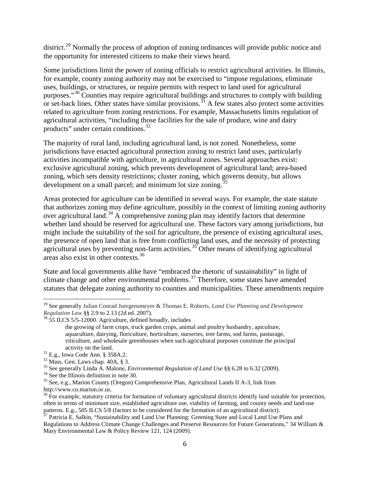district.<sup>[29](#page-5-0)</sup> Normally the process of adoption of zoning ordinances will provide public notice and the opportunity for interested citizens to make their views heard.

Some jurisdictions limit the power of zoning officials to restrict agricultural activities. In Illinois, for example, county zoning authority may not be exercised to "impose regulations, eliminate uses, buildings, or structures, or require permits with respect to land used for agricultural purposes."<sup>[30](#page-5-1)</sup> Counties may require agricultural buildings and structures to comply with building or set-back lines. Other states have similar provisions.<sup>[31](#page-5-2)</sup> A few states also protect some activities related to agriculture from zoning restrictions. For example, Massachusetts limits regulation of agricultural activities, "including those facilities for the sale of produce, wine and dairy products" under certain conditions.<sup>[32](#page-5-3)</sup>

The majority of rural land, including agricultural land, is not zoned. Nonetheless, some jurisdictions have enacted agricultural protection zoning to restrict land uses, particularly activities incompatible with agriculture, in agricultural zones. Several approaches exist: exclusive agricultural zoning, which prevents development of agricultural land; area-based zoning, which sets density restrictions; cluster zoning, which governs density, but allows development on a small parcel; and minimum lot size zoning.<sup>3</sup>

Areas protected for agriculture can be identified in several ways. For example, the state statute that authorizes zoning may define agriculture, possibly in the context of limiting zoning authority over agricultural land.<sup>[34](#page-5-5)</sup> A comprehensive zoning plan may identify factors that determine whether land should be reserved for agricultural use. These factors vary among jurisdictions, but might include the suitability of the soil for agriculture, the presence of existing agricultural uses, the presence of open land that is free from conflicting land uses, and the necessity of protecting agricultural uses by preventing non-farm activities.<sup>[35](#page-5-6)</sup> Other means of identifying agricultural areas also exist in other contexts.[36](#page-5-7)

State and local governments alike have "embraced the rhetoric of sustainability" in light of climate change and other environmental problems.<sup>[37](#page-5-8)</sup> Therefore, some states have amended statutes that delegate zoning authority to counties and municipalities. These amendments require

<span id="page-5-0"></span> <sup>29</sup> See generally Julian Conrad Juergensmeyer & Thomas E. Roberts, *Land Use Planning and Development Regulation Law* §§ 2.9 to 2.13 (2d ed. 2007).

<span id="page-5-1"></span> $30\,$  55 ILCS 5/5-12000. Agriculture, defined broadly, includes

the growing of farm crops, truck garden crops, animal and poultry husbandry, apiculture, aquaculture, dairying, floriculture, horticulture, nurseries, tree farms, sod farms, pasturage, viticulture, and wholesale greenhouses when such agricultural purposes constitute the principal activity on the land.<br><sup>31</sup> E.g., Iowa Code Ann. § 358A.2.<br><sup>32</sup> Mass. Gen. Laws chap. 40A, § 3.<br><sup>33</sup> See generally Linda A. Malone, *Environmental Regulation of Land Use* §§ 6.28 to 6.32 (2009).<br><sup>34</sup> See the Illinois defini

<span id="page-5-2"></span>

<span id="page-5-3"></span>

<span id="page-5-4"></span>

<span id="page-5-5"></span>

<span id="page-5-6"></span>http://www.co.marion.or.us.

<span id="page-5-7"></span> $36$  For example, statutory criteria for formation of voluntary agricultural districts identify land suitable for protection, often in terms of minimum size, established agriculture use, viability of farming, and county needs and land-use patterns. E.g., 505 ILCS 5/8 (factors to be considered for the formation of an agricultural district).<br><sup>37</sup> Patricia E. Salkin, "Sustainability and Land Use Planning: Greening State and Local Land Use Plans and

<span id="page-5-8"></span>Regulations to Address Climate Change Challenges and Preserve Resources for Future Generations," 34 William & Mary Environmental Law & Policy Review 121, 124 (2009).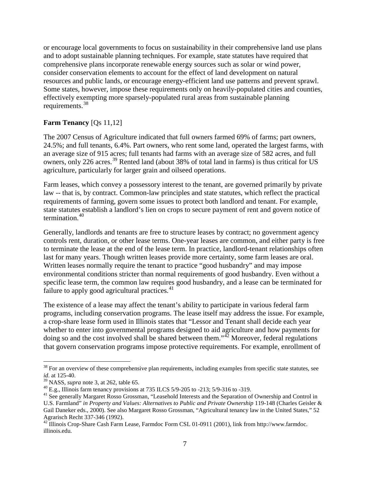or encourage local governments to focus on sustainability in their comprehensive land use plans and to adopt sustainable planning techniques. For example, state statutes have required that comprehensive plans incorporate renewable energy sources such as solar or wind power, consider conservation elements to account for the effect of land development on natural resources and public lands, or encourage energy-efficient land use patterns and prevent sprawl. Some states, however, impose these requirements only on heavily-populated cities and counties, effectively exempting more sparsely-populated rural areas from sustainable planning requirements.[38](#page-6-0)

## **Farm Tenancy** [Qs 11,12]

The 2007 Census of Agriculture indicated that full owners farmed 69% of farms; part owners, 24.5%; and full tenants, 6.4%. Part owners, who rent some land, operated the largest farms, with an average size of 915 acres; full tenants had farms with an average size of 582 acres, and full owners, only 226 acres.<sup>[39](#page-6-1)</sup> Rented land (about 38% of total land in farms) is thus critical for US agriculture, particularly for larger grain and oilseed operations.

Farm leases, which convey a possessory interest to the tenant, are governed primarily by private law -- that is, by contract. Common-law principles and state statutes, which reflect the practical requirements of farming, govern some issues to protect both landlord and tenant. For example, state statutes establish a landlord's lien on crops to secure payment of rent and govern notice of termination. [40](#page-6-2)

Generally, landlords and tenants are free to structure leases by contract; no government agency controls rent, duration, or other lease terms. One-year leases are common, and either party is free to terminate the lease at the end of the lease term. In practice, landlord-tenant relationships often last for many years. Though written leases provide more certainty, some farm leases are oral. Written leases normally require the tenant to practice "good husbandry" and may impose environmental conditions stricter than normal requirements of good husbandry. Even without a specific lease term, the common law requires good husbandry, and a lease can be terminated for failure to apply good agricultural practices.<sup>[41](#page-6-3)</sup>

The existence of a lease may affect the tenant's ability to participate in various federal farm programs, including conservation programs. The lease itself may address the issue. For example, a crop-share lease form used in Illinois states that "Lessor and Tenant shall decide each year whether to enter into governmental programs designed to aid agriculture and how payments for doing so and the cost involved shall be shared between them." $\frac{1}{4}$  Moreover, federal regulations that govern conservation programs impose protective requirements. For example, enrollment of

<span id="page-6-0"></span><sup>&</sup>lt;sup>38</sup> For an overview of these comprehensive plan requirements, including examples from specific state statutes, see *id.* at 125-40.<br><sup>39</sup> NASS. *supra* note 3, at 262, table 65.

<span id="page-6-2"></span><span id="page-6-1"></span><sup>&</sup>lt;sup>40</sup> E.g., Illinois farm tenancy provisions at 735 ILCS 5/9-205 to -213; 5/9-316 to -319.<br><sup>41</sup> See generally Margaret Rosso Grossman, "Leasehold Interests and the Separation of Ownership and Control in

<span id="page-6-3"></span>U.S. Farmland" *in Property and Values: Alternatives to Public and Private Ownership* 119-148 (Charles Geisler & Gail Daneker eds., 2000). See also Margaret Rosso Grossman, "Agricultural tenancy law in the United States," 52 Agrarisch Recht 337-346 (1992).<br><sup>42</sup> Illinois Crop-Share Cash Farm Lease, Farmdoc Form CSL 01-0911 (2001), link from http://www.farmdoc.

<span id="page-6-4"></span>illinois.edu.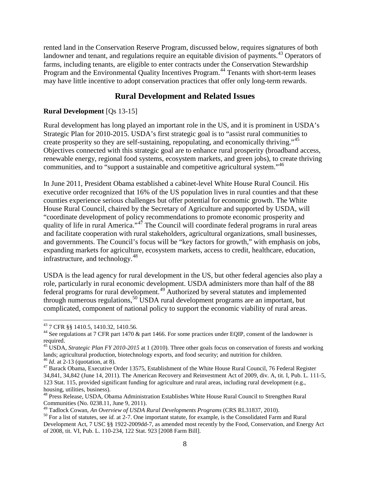rented land in the Conservation Reserve Program, discussed below, requires signatures of both landowner and tenant, and regulations require an equitable division of payments.<sup>[43](#page-7-0)</sup> Operators of farms, including tenants, are eligible to enter contracts under the Conservation Stewardship Program and the Environmental Quality Incentives Program.<sup>[44](#page-7-1)</sup> Tenants with short-term leases may have little incentive to adopt conservation practices that offer only long-term rewards.

# **Rural Development and Related Issues**

#### **Rural Development** [Qs 13-15]

Rural development has long played an important role in the US, and it is prominent in USDA's Strategic Plan for 2010-2015. USDA's first strategic goal is to "assist rural communities to create prosperity so they are self-sustaining, repopulating, and economically thriving."<sup>[45](#page-7-2)</sup> Objectives connected with this strategic goal are to enhance rural prosperity (broadband access, renewable energy, regional food systems, ecosystem markets, and green jobs), to create thriving communities, and to "support a sustainable and competitive agricultural system."[46](#page-7-3)

In June 2011, President Obama established a cabinet-level White House Rural Council. His executive order recognized that 16% of the US population lives in rural counties and that these counties experience serious challenges but offer potential for economic growth. The White House Rural Council, chaired by the Secretary of Agriculture and supported by USDA, will "coordinate development of policy recommendations to promote economic prosperity and quality of life in rural America."<sup>[47](#page-7-4)</sup> The Council will coordinate federal programs in rural areas and facilitate cooperation with rural stakeholders, agricultural organizations, small businesses, and governments. The Council's focus will be "key factors for growth," with emphasis on jobs, expanding markets for agriculture, ecosystem markets, access to credit, healthcare, education, infrastructure, and technology.[48](#page-7-5)

USDA is the lead agency for rural development in the US, but other federal agencies also play a role, particularly in rural economic development. USDA administers more than half of the 88 federal programs for rural development.<sup>[49](#page-7-6)</sup> Authorized by several statutes and implemented through numerous regulations,<sup>[50](#page-7-7)</sup> USDA rural development programs are an important, but complicated, component of national policy to support the economic viability of rural areas.

<span id="page-7-0"></span> <sup>43</sup> 7 CFR §§ 1410.5, 1410.32, 1410.56.

<span id="page-7-1"></span><sup>&</sup>lt;sup>44</sup> See regulations at 7 CFR part 1470 & part 1466. For some practices under EQIP, consent of the landowner is required.

<span id="page-7-2"></span><sup>45</sup> USDA, *Strategic Plan FY 2010-2015* at 1 (2010). Three other goals focus on conservation of forests and working lands; agricultural production, biotechnology exports, and food security; and nutrition for children.<br><sup>46</sup> *Id.* at 2-13 (quotation, at 8).

<span id="page-7-4"></span><span id="page-7-3"></span><sup>&</sup>lt;sup>47</sup> Barack Obama, Executive Order 13575, Establishment of the White House Rural Council, 76 Federal Register 34,841, 34,842 (June 14, 2011). The American Recovery and Reinvestment Act of 2009, div. A, tit. I, Pub. L. 111-5, 123 Stat. 115, provided significant funding for agriculture and rural areas, including rural development (e.g., housing, utilities, business).

<span id="page-7-5"></span><sup>48</sup> Press Release, USDA, Obama Administration Establishes White House Rural Council to Strengthen Rural Communities (No. 0238.11, June 9, 2011).<br><sup>49</sup> Tadlock Cowan, An Overview of USDA Rural Developments Programs (CRS RL31837, 2010).

<span id="page-7-6"></span>

<span id="page-7-7"></span><sup>&</sup>lt;sup>50</sup> For a list of statutes, see *id.* at 2-7. One important statute, for example, is the Consolidated Farm and Rural Development Act, 7 USC §§ 1922-2009dd-7, as amended most recently by the Food, Conservation, and Energy Act of 2008, tit. VI, Pub. L. 110-234, 122 Stat. 923 [2008 Farm Bill].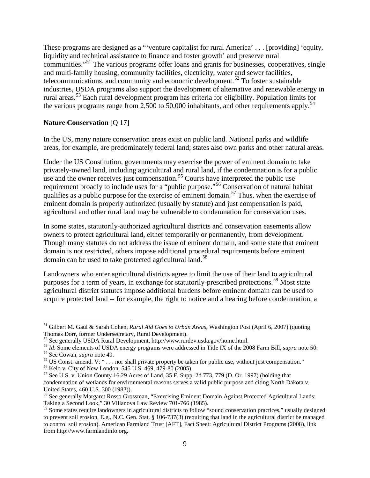These programs are designed as a "'venture capitalist for rural America' . . . [providing] 'equity, liquidity and technical assistance to finance and foster growth' and preserve rural communities."[51](#page-8-0) The various programs offer loans and grants for businesses, cooperatives, single and multi-family housing, community facilities, electricity, water and sewer facilities, telecommunications, and community and economic development.<sup>[52](#page-8-1)</sup> To foster sustainable industries, USDA programs also support the development of alternative and renewable energy in rural areas.<sup>[53](#page-8-2)</sup> Each rural development program has criteria for eligibility. Population limits for the various programs range from 2,500 to 50,000 inhabitants, and other requirements apply.<sup>[54](#page-8-3)</sup>

#### **Nature Conservation** [Q 17]

In the US, many nature conservation areas exist on public land. National parks and wildlife areas, for example, are predominately federal land; states also own parks and other natural areas.

Under the US Constitution, governments may exercise the power of eminent domain to take privately-owned land, including agricultural and rural land, if the condemnation is for a public use and the owner receives just compensation.<sup>[55](#page-8-4)</sup> Courts have interpreted the public use requirement broadly to include uses for a "public purpose."<sup>[56](#page-8-5)</sup> Conservation of natural habitat qualifies as a public purpose for the exercise of eminent domain.<sup>[57](#page-8-6)</sup> Thus, when the exercise of eminent domain is properly authorized (usually by statute) and just compensation is paid, agricultural and other rural land may be vulnerable to condemnation for conservation uses.

In some states, statutorily-authorized agricultural districts and conservation easements allow owners to protect agricultural land, either temporarily or permanently, from development. Though many statutes do not address the issue of eminent domain, and some state that eminent domain is not restricted, others impose additional procedural requirements before eminent domain can be used to take protected agricultural land.<sup>[58](#page-8-7)</sup>

Landowners who enter agricultural districts agree to limit the use of their land to agricultural purposes for a term of years, in exchange for statutorily-prescribed protections.<sup>[59](#page-8-8)</sup> Most state agricultural district statutes impose additional burdens before eminent domain can be used to acquire protected land -- for example, the right to notice and a hearing before condemnation, a

<span id="page-8-0"></span> <sup>51</sup> Gilbert M. Gaul & Sarah Cohen*, Rural Aid Goes to Urban Areas*, Washington Post (April 6, 2007) (quoting Thomas Dorr, former Undersecretary, Rural Development).<br><sup>52</sup> See generally USDA Rural Development, http://www.rurdev.usda.gov/home.html.

<span id="page-8-4"></span><span id="page-8-3"></span>

<span id="page-8-2"></span><span id="page-8-1"></span><sup>&</sup>lt;sup>53</sup> *Id.* Some elements of USDA energy programs were addressed in Title IX of the 2008 Farm Bill, *supra* note 50.<br><sup>54</sup> See Cowan, *supra* note 49.<br><sup>55</sup> US Const. amend. V: "... nor shall private property be taken for pu

<span id="page-8-6"></span><span id="page-8-5"></span>condemnation of wetlands for environmental reasons serves a valid public purpose and citing North Dakota v. United States, 460 U.S. 300 (1983)).<br><sup>58</sup> See generally Margaret Rosso Grossman, "Exercising Eminent Domain Against Protected Agricultural Lands:

<span id="page-8-7"></span>Taking a Second Look," 30 Villanova Law Review 701-766 (1985).

<span id="page-8-8"></span><sup>&</sup>lt;sup>59</sup> Some states require landowners in agricultural districts to follow "sound conservation practices," usually designed to prevent soil erosion. E.g., N.C. Gen. Stat. § 106-737(3) (requiring that land in the agricultural district be managed to control soil erosion). American Farmland Trust [AFT], Fact Sheet: Agricultural District Programs (2008), link from http://www.farmlandinfo.org.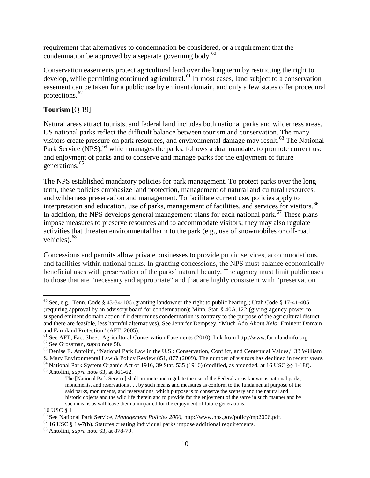requirement that alternatives to condemnation be considered, or a requirement that the condemnation be approved by a separate governing body. $60$ 

Conservation easements protect agricultural land over the long term by restricting the right to develop, while permitting continued agricultural.<sup>[61](#page-9-1)</sup> In most cases, land subject to a conservation easement can be taken for a public use by eminent domain, and only a few states offer procedural protections.[62](#page-9-2)

## **Tourism** [Q 19]

Natural areas attract tourists, and federal land includes both national parks and wilderness areas. US national parks reflect the difficult balance between tourism and conservation. The many visitors create pressure on park resources, and environmental damage may result.<sup>[63](#page-9-3)</sup> The National Park Service (NPS), <sup>[64](#page-9-4)</sup> which manages the parks, follows a dual mandate: to promote current use and enjoyment of parks and to conserve and manage parks for the enjoyment of future generations.<sup>[65](#page-9-5)</sup>

The NPS established mandatory policies for park management. To protect parks over the long term, these policies emphasize land protection, management of natural and cultural resources, and wilderness preservation and management. To facilitate current use, policies apply to interpretation and education, use of parks, management of facilities, and services for visitors.<sup>[66](#page-9-6)</sup> In addition, the NPS develops general management plans for each national park.<sup>[67](#page-9-7)</sup> These plans impose measures to preserve resources and to accommodate visitors; they may also regulate activities that threaten environmental harm to the park (e.g., use of snowmobiles or off-road vehicles).<sup>[68](#page-9-8)</sup>

Concessions and permits allow private businesses to provide public services, accommodations, and facilities within national parks. In granting concessions, the NPS must balance economically beneficial uses with preservation of the parks' natural beauty. The agency must limit public uses to those that are "necessary and appropriate" and that are highly consistent with "preservation

<span id="page-9-0"></span><sup>&</sup>lt;sup>60</sup> See, e.g., Tenn. Code § 43-34-106 (granting landowner the right to public hearing); Utah Code § 17-41-405 (requiring approval by an advisory board for condemnation); Minn. Stat. § 40A.122 (giving agency power to suspend eminent domain action if it determines condemnation is contrary to the purpose of the agricultural district and there are feasible, less harmful alternatives). See Jennifer Dempsey, "Much Ado About *Kelo*: Eminent Domain and Farmland Protection" (AFT, 2005).<br><sup>61</sup> See AFT, Fact Sheet: Agricultural Conservation Easements (2010), link from http://www.farmlandinfo.org.

<span id="page-9-2"></span><span id="page-9-1"></span> $^{62}$  See Grossman, *supra* note 58.<br><sup>63</sup> Denise E. Antolini, "National Park Law in the U.S.: Conservation, Conflict, and Centennial Values," 33 William

<span id="page-9-3"></span><sup>&</sup>amp; Mary Environmental Law & Policy Review 851, 877 (2009). The number of visitors has declined in recent years.

<span id="page-9-5"></span><span id="page-9-4"></span><sup>64</sup> National Park System Organic Act of 1916, 39 Stat. 535 (1916) (codified, as amended, at 16 USC §§ 1-18f). <sup>65</sup> Antolini, *supra* note 63, at 861-62.

The [National Park Service] shall promote and regulate the use of the Federal areas known as national parks, monuments, and reservations . . . by such means and measures as conform to the fundamental purpose of the said parks, monuments, and reservations, which purpose is to conserve the scenery and the natural and historic objects and the wild life therein and to provide for the enjoyment of the same in such manner and by such means as will leave them unimpaired for the enjoyment of future generations.

<sup>16</sup> USC § 1<br><sup>66</sup> See National Park Service, *Management Policies 2006*, http://www.nps.gov/policy/mp2006.pdf.

<span id="page-9-7"></span><span id="page-9-6"></span> $^{67}$  16 USC § 1a-7(b). Statutes creating individual parks impose additional requirements.  $^{68}$  Antolini, *supra* note 63, at 878-79.

<span id="page-9-8"></span>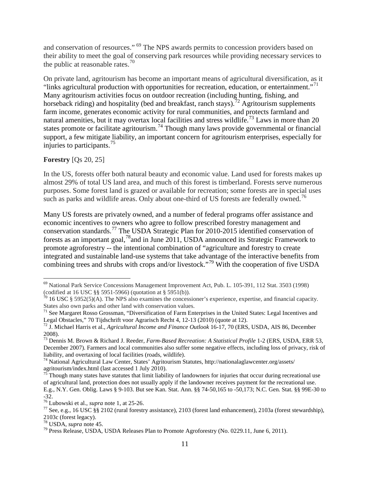and conservation of resources." [69](#page-10-0) The NPS awards permits to concession providers based on their ability to meet the goal of conserving park resources while providing necessary services to the public at reasonable rates. $^{70}$  $^{70}$  $^{70}$ 

On private land, agritourism has become an important means of agricultural diversification, as it "links agricultural production with opportunities for recreation, education, or entertainment."<sup>[71](#page-10-2)</sup> Many agritourism activities focus on outdoor recreation (including hunting, fishing, and horseback riding) and hospitality (bed and breakfast, ranch stays).<sup>[72](#page-10-3)</sup> Agritourism supplements farm income, generates economic activity for rural communities, and protects farmland and natural amenities, but it may overtax local facilities and stress wildlife.<sup>[73](#page-10-4)</sup> Laws in more than 20 states promote or facilitate agritourism.<sup>[74](#page-10-5)</sup> Though many laws provide governmental or financial support, a few mitigate liability, an important concern for agritourism enterprises, especially for injuries to participants.[75](#page-10-6)

#### **Forestry** [Qs 20, 25]

In the US, forests offer both natural beauty and economic value. Land used for forests makes up almost 29% of total US land area, and much of this forest is timberland. Forests serve numerous purposes. Some forest land is grazed or available for recreation; some forests are in special uses such as parks and wildlife areas. Only about one-third of US forests are federally owned.<sup>[76](#page-10-7)</sup>

Many US forests are privately owned, and a number of federal programs offer assistance and economic incentives to owners who agree to follow prescribed forestry management and conservation standards.[77](#page-10-8) The USDA Strategic Plan for 2010-2015 identified conservation of forests as an important goal,<sup>[78](#page-10-9)</sup> and in June 2011, USDA announced its Strategic Framework to promote agroforestry -- the intentional combination of "agriculture and forestry to create integrated and sustainable land-use systems that take advantage of the interactive benefits from combining trees and shrubs with crops and/or livestock."<sup>[79](#page-10-10)</sup> With the cooperation of five USDA

<span id="page-10-0"></span> <sup>69</sup> National Park Service Concessions Management Improvement Act, Pub. L. 105-391, 112 Stat. 3503 (1998) (codified at 16 USC §§ 5951-5966) (quotation at § 5951(b)).

<span id="page-10-1"></span> $\pi$ <sup>0</sup> 16 USC § 5952(5)(A). The NPS also examines the concessioner's experience, expertise, and financial capacity. States also own parks and other land with conservation values.

<span id="page-10-2"></span><sup>&</sup>lt;sup>71</sup> See Margaret Rosso Grossman, "Diversification of Farm Enterprises in the United States: Legal Incentives and Legal Obstacles," 70 Tijdschrift voor Agrarisch Recht 4, 12-13 (2010) (quote at 12).

<span id="page-10-3"></span><sup>&</sup>lt;sup>72</sup> J. Michael Harris et al., *Agricultural Income and Finance Outlook* 16-17, 70 (ERS, USDA, AIS 86, December 2008).

<span id="page-10-4"></span><sup>73</sup> Dennis M. Brown & Richard J. Reeder, *Farm-Based Recreation: A Statistical Profile* 1-2 (ERS, USDA, ERR 53, December 2007). Farmers and local communities also suffer some negative effects, including loss of privacy, risk of

<span id="page-10-5"></span><sup>&</sup>lt;sup>74</sup> National Agricultural Law Center, States' Agritourism Statutes, http://nationalaglawcenter.org/assets/ agritourism/index.html (last accessed 1 July 2010).

<span id="page-10-6"></span>Though many states have statutes that limit liability of landowners for injuries that occur during recreational use of agricultural land, protection does not usually apply if the landowner receives payment for the recreational use. E.g., N.Y. Gen. Oblig. Laws § 9-103. But see Kan. Stat. Ann. §§ 74-50,165 to -50,173; N.C. Gen. Stat. §§ 99E-30 to

 $-32$ .<br><sup>76</sup> Lubowski et al., *supra* note 1, at 25-26.

<span id="page-10-8"></span><span id="page-10-7"></span><sup>&</sup>lt;sup>77</sup> See, e.g., 16 USC §§ 2102 (rural forestry assistance), 2103 (forest land enhancement), 2103a (forest stewardship),  $2103c$  (forest legacy).<br><sup>78</sup> USDA, *supra* note 45.

<span id="page-10-9"></span>

<span id="page-10-10"></span><sup>&</sup>lt;sup>79</sup> Press Release, USDA, USDA Releases Plan to Promote Agroforestry (No. 0229.11, June 6, 2011).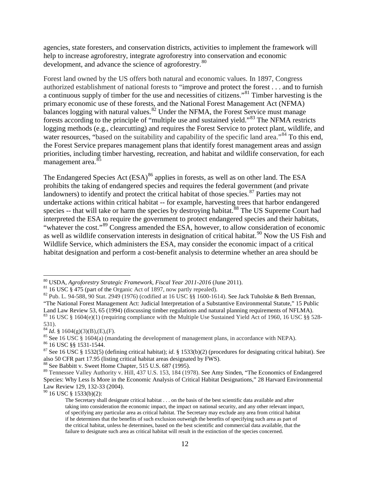agencies, state foresters, and conservation districts, activities to implement the framework will help to increase agroforestry, integrate agroforestry into conservation and economic development, and advance the science of agroforestry.<sup>[80](#page-11-0)</sup>

Forest land owned by the US offers both natural and economic values. In 1897, Congress authorized establishment of national forests to "improve and protect the forest . . . and to furnish a continuous supply of timber for the use and necessities of citizens."[81](#page-11-1) Timber harvesting is the primary economic use of these forests, and the National Forest Management Act (NFMA) balances logging with natural values. $82^{\circ}$  $82^{\circ}$  Under the NFMA, the Forest Service must manage forests according to the principle of "multiple use and sustained yield."<sup>[83](#page-11-3)</sup> The NFMA restricts logging methods (e.g., clearcutting) and requires the Forest Service to protect plant, wildlife, and water resources, "based on the suitability and capability of the specific land area."<sup>[84](#page-11-4)</sup> To this end, the Forest Service prepares management plans that identify forest management areas and assign priorities, including timber harvesting, recreation, and habitat and wildlife conservation, for each management area.<sup>[85](#page-11-5)</sup>

The Endangered Species Act (ESA)<sup>[86](#page-11-6)</sup> applies in forests, as well as on other land. The ESA prohibits the taking of endangered species and requires the federal government (and private landowners) to identify and protect the critical habitat of those species. $87$  Parties may not undertake actions within critical habitat -- for example, harvesting trees that harbor endangered species -- that will take or harm the species by destroying habitat.<sup>[88](#page-11-8)</sup> The US Supreme Court had interpreted the ESA to require the government to protect endangered species and their habitats, "whatever the cost."<sup>[89](#page-11-9)</sup> Congress amended the ESA, however, to allow consideration of economic as well as wildlife conservation interests in designation of critical habitat.<sup>[90](#page-11-10)</sup> Now the US Fish and Wildlife Service, which administers the ESA, may consider the economic impact of a critical habitat designation and perform a cost-benefit analysis to determine whether an area should be

<span id="page-11-10"></span><sup>90</sup> 16 USC § 1533(b)(2):

<span id="page-11-0"></span><sup>&</sup>lt;sup>80</sup> USDA, *Agroforestry Strategic Framework, Fiscal Year 2011-2016* (June 2011).<br><sup>81</sup> 16 USC § 475 (part of the Organic Act of 1897, now partly repealed).

<span id="page-11-1"></span>

<span id="page-11-2"></span><sup>&</sup>lt;sup>82</sup> Pub. L. 94-588, 90 Stat. 2949 (1976) (codified at 16 USC §§ 1600-1614). See Jack Tuholske & Beth Brennan, "The National Forest Management Act: Judicial Interpretation of a Substantive Environmental Statute," 15 Public

<span id="page-11-3"></span>Land Law Review 53, 65 (1994) (discussing timber regulations and natural planning requirements of NFLMA).<br><sup>83</sup> 16 USC § 1604(e)(1) (requiring compliance with the Multiple Use Sustained Yield Act of 1960, 16 USC §§ 528-531

<span id="page-11-5"></span><span id="page-11-4"></span><sup>&</sup>lt;sup>84</sup> *Id.* § 1604(g)(3)(B),(E),(F).<br><sup>85</sup> See 16 USC § 1604(a) (mandating the development of management plans, in accordance with NEPA).<br><sup>85</sup> See 16 USC § § 1531-1544.<br><sup>87</sup> See 16 USC § 1532(5) (defining critical habitat);

<span id="page-11-7"></span><span id="page-11-6"></span>also 50 CFR part 17.95 (listing critical habitat areas designated by FWS).<br><sup>88</sup> See Babbitt v. Sweet Home Chapter, 515 U.S. 687 (1995).

<span id="page-11-9"></span><span id="page-11-8"></span><sup>&</sup>lt;sup>89</sup> Tennessee Valley Authority v. Hill, 437 U.S. 153, 184 (1978). See Amy Sinden, "The Economics of Endangered Species: Why Less Is More in the Economic Analysis of Critical Habitat Designations," 28 Harvard Environmental Law Review 129, 132-33 (2004).

The Secretary shall designate critical habitat . . . on the basis of the best scientific data available and after taking into consideration the economic impact, the impact on national security, and any other relevant impact, of specifying any particular area as critical habitat. The Secretary may exclude any area from critical habitat if he determines that the benefits of such exclusion outweigh the benefits of specifying such area as part of the critical habitat, unless he determines, based on the best scientific and commercial data available, that the failure to designate such area as critical habitat will result in the extinction of the species concerned.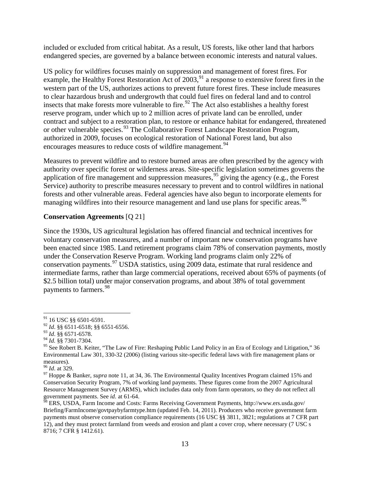included or excluded from critical habitat. As a result, US forests, like other land that harbors endangered species, are governed by a balance between economic interests and natural values.

US policy for wildfires focuses mainly on suppression and management of forest fires. For example, the Healthy Forest Restoration Act of 2003,<sup>[91](#page-12-0)</sup> a response to extensive forest fires in the western part of the US, authorizes actions to prevent future forest fires. These include measures to clear hazardous brush and undergrowth that could fuel fires on federal land and to control insects that make forests more vulnerable to fire.<sup>[92](#page-12-1)</sup> The Act also establishes a healthy forest reserve program, under which up to 2 million acres of private land can be enrolled, under contract and subject to a restoration plan, to restore or enhance habitat for endangered, threatened or other vulnerable species.<sup>[93](#page-12-2)</sup> The Collaborative Forest Landscape Restoration Program, authorized in 2009, focuses on ecological restoration of National Forest land, but also encourages measures to reduce costs of wildfire management.<sup>[94](#page-12-3)</sup>

Measures to prevent wildfire and to restore burned areas are often prescribed by the agency with authority over specific forest or wilderness areas. Site-specific legislation sometimes governs the application of fire management and suppression measures,<sup>[95](#page-12-4)</sup> giving the agency (e.g., the Forest Service) authority to prescribe measures necessary to prevent and to control wildfires in national forests and other vulnerable areas. Federal agencies have also begun to incorporate elements for managing wildfires into their resource management and land use plans for specific areas.<sup>[96](#page-12-5)</sup>

#### **Conservation Agreements** [Q 21]

Since the 1930s, US agricultural legislation has offered financial and technical incentives for voluntary conservation measures, and a number of important new conservation programs have been enacted since 1985. Land retirement programs claim 78% of conservation payments, mostly under the Conservation Reserve Program. Working land programs claim only 22% of conservation payments.[97](#page-12-6) USDA statistics, using 2009 data, estimate that rural residence and intermediate farms, rather than large commercial operations, received about 65% of payments (of \$2.5 billion total) under major conservation programs, and about 38% of total government payments to farmers.<sup>[98](#page-12-7)</sup>

 <sup>91</sup> 16 USC §§ 6501-6591.

<span id="page-12-2"></span><span id="page-12-1"></span><span id="page-12-0"></span><sup>92</sup> *Id*. §§ 6511-6518; §§ 6551-6556. <sup>93</sup> *Id*. §§ 6571-6578. <sup>94</sup> *Id.* §§ 7301-7304.

<span id="page-12-4"></span><span id="page-12-3"></span><sup>&</sup>lt;sup>95</sup> See Robert B. Keiter, "The Law of Fire: Reshaping Public Land Policy in an Era of Ecology and Litigation," 36 Environmental Law 301, 330-32 (2006) (listing various site-specific federal laws with fire management plans or measures).<br> $\frac{96}{1}$  *Id.* at 329.

<span id="page-12-6"></span><span id="page-12-5"></span><sup>&</sup>lt;sup>97</sup> Hoppe & Banker, *supra* note 11, at 34, 36. The Environmental Quality Incentives Program claimed 15% and Conservation Security Program, 7% of working land payments. These figures come from the 2007 Agricultural Resource Management Survey (ARMS), which includes data only from farm operators, so they do not reflect all government payments. See *id*. at 61-64.

<span id="page-12-7"></span> $^{98}$  ERS, USDA, Farm Income and Costs: Farms Receiving Government Payments, http://www.ers.usda.gov/ Briefing/FarmIncome/govtpaybyfarmtype.htm (updated Feb. 14, 2011). Producers who receive government farm payments must observe conservation compliance requirements (16 USC §§ 3811, 3821; regulations at 7 CFR part 12), and they must protect farmland from weeds and erosion and plant a cover crop, where necessary (7 USC s 8716; 7 CFR § 1412.61).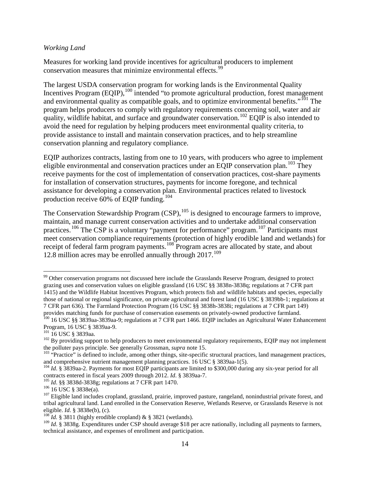#### *Working Land*

Measures for working land provide incentives for agricultural producers to implement conservation measures that minimize environmental effects.<sup>[99](#page-13-0)</sup>

The largest USDA conservation program for working lands is the Environmental Quality Incentives Program  $(EQIP)$ ,  $^{100}$  $^{100}$  $^{100}$  intended "to promote agricultural production, forest management and environmental quality as compatible goals, and to optimize environmental benefits."<sup>[101](#page-13-2)</sup> The program helps producers to comply with regulatory requirements concerning soil, water and air quality, wildlife habitat, and surface and groundwater conservation.<sup>[102](#page-13-3)</sup> EQIP is also intended to avoid the need for regulation by helping producers meet environmental quality criteria, to provide assistance to install and maintain conservation practices, and to help streamline conservation planning and regulatory compliance.

EQIP authorizes contracts, lasting from one to 10 years, with producers who agree to implement eligible environmental and conservation practices under an EQIP conservation plan.<sup>[103](#page-13-4)</sup> They receive payments for the cost of implementation of conservation practices, cost-share payments for installation of conservation structures, payments for income foregone, and technical assistance for developing a conservation plan. Environmental practices related to livestock production receive  $60\%$  of EQIP funding.<sup>[104](#page-13-5)</sup>

The Conservation Stewardship Program  $(CSP)$ ,  $^{105}$  $^{105}$  $^{105}$  is designed to encourage farmers to improve, maintain, and manage current conservation activities and to undertake additional conservation practices.<sup>[106](#page-13-7)</sup> The CSP is a voluntary "payment for performance" program.<sup>[107](#page-13-8)</sup> Participants must meet conservation compliance requirements (protection of highly erodible land and wetlands) for receipt of federal farm program payments.<sup>[108](#page-13-9)</sup> Program acres are allocated by state, and about 12.8 million acres may be enrolled annually through  $2017$ .<sup>[109](#page-13-10)</sup>

<span id="page-13-0"></span><sup>&</sup>lt;sup>99</sup> Other conservation programs not discussed here include the Grasslands Reserve Program, designed to protect grazing uses and conservation values on eligible grassland (16 USC §§ 3838n-3838q; regulations at 7 CFR part 1415) and the Wildlife Habitat Incentives Program, which protects fish and wildlife habitats and species, especially those of national or regional significance, on private agricultural and forest land (16 USC § 3839bb-1; regulations at 7 CFR part 636). The Farmland Protection Program (16 USC §§ 3838h-3838i; regulations at 7 CFR part 149)

<span id="page-13-1"></span>provides matching funds for purchase of conservation easements on privately-owned productive farmland.<br><sup>100</sup> 16 USC §§ 3839aa-3839aa-9; regulations at 7 CFR part 1466. EQIP includes an Agricultural Water Enhancement<br>Progra

<span id="page-13-3"></span><span id="page-13-2"></span><sup>&</sup>lt;sup>101</sup> 16 USC § 3839aa.<br><sup>102</sup> By providing support to help producers to meet environmental regulatory requirements, EQIP may not implement<br>the polluter pays principle. See generally Grossman, *supra* note 15.

<span id="page-13-4"></span><sup>&</sup>lt;sup>103</sup> "Practice" is defined to include, among other things, site-specific structural practices, land management practices, and comprehensive nutrient management planning practices. 16 USC § 3839aa-1(5).

<span id="page-13-5"></span><sup>&</sup>lt;sup>104</sup> *Id.* § 3839aa-2. Payments for most EQIP participants are limited to \$300,000 during any six-year period for all contracts entered in fiscal years 2009 through 2012. *Id.* § 3839aa-7.

<span id="page-13-8"></span>

<span id="page-13-7"></span><span id="page-13-6"></span><sup>&</sup>lt;sup>105</sup> *Id.* §§ 3838d-3838g; regulations at 7 CFR part 1470.<br><sup>106</sup> 16 USC § 3838e(a).<br><sup>107</sup> Eligible land includes cropland, grassland, prairie, improved pasture, rangeland, nonindustrial private forest, and tribal agricultural land. Land enrolled in the Conservation Reserve, Wetlands Reserve, or Grasslands Reserve is not eligible. *Id*. § 3838e(b), (c).<br><sup>108</sup> *Id.* § 3811 (highly erodible cropland) & § 3821 (wetlands).

<span id="page-13-10"></span><span id="page-13-9"></span><sup>&</sup>lt;sup>109</sup> *Id.* § 3838g. Expenditures under CSP should average \$18 per acre nationally, including all payments to farmers, technical assistance, and expenses of enrollment and participation.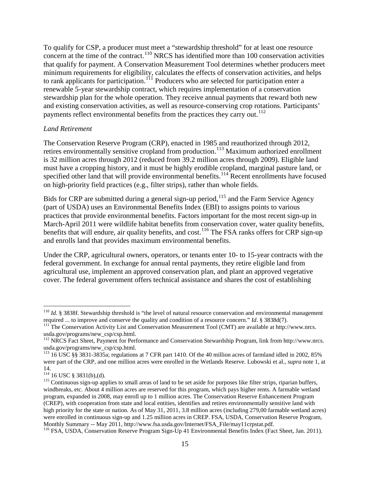To qualify for CSP, a producer must meet a "stewardship threshold" for at least one resource concern at the time of the contract.<sup>[110](#page-14-0)</sup> NRCS has identified more than 100 conservation activities that qualify for payment. A Conservation Measurement Tool determines whether producers meet minimum requirements for eligibility, calculates the effects of conservation activities, and helps to rank applicants for participation.<sup>[111](#page-14-1)</sup> Producers who are selected for participation enter a renewable 5-year stewardship contract, which requires implementation of a conservation stewardship plan for the whole operation. They receive annual payments that reward both new and existing conservation activities, as well as resource-conserving crop rotations. Participants' payments reflect environmental benefits from the practices they carry out.<sup>[112](#page-14-2)</sup>

#### *Land Retirement*

The Conservation Reserve Program (CRP), enacted in 1985 and reauthorized through 2012, retires environmentally sensitive cropland from production.<sup>[113](#page-14-3)</sup> Maximum authorized enrollment is 32 million acres through 2012 (reduced from 39.2 million acres through 2009). Eligible land must have a cropping history, and it must be highly erodible cropland, marginal pasture land, or specified other land that will provide environmental benefits.<sup>[114](#page-14-4)</sup> Recent enrollments have focused on high-priority field practices (e.g., filter strips), rather than whole fields.

Bids for CRP are submitted during a general sign-up period, <sup>[115](#page-14-5)</sup> and the Farm Service Agency (part of USDA) uses an Environmental Benefits Index (EBI) to assigns points to various practices that provide environmental benefits. Factors important for the most recent sign-up in March-April 2011 were wildlife habitat benefits from conservation cover, water quality benefits, benefits that will endure, air quality benefits, and cost.<sup>[116](#page-14-6)</sup> The FSA ranks offers for CRP sign-up and enrolls land that provides maximum environmental benefits.

Under the CRP, agricultural owners, operators, or tenants enter 10- to 15-year contracts with the federal government. In exchange for annual rental payments, they retire eligible land from agricultural use, implement an approved conservation plan, and plant an approved vegetative cover. The federal government offers technical assistance and shares the cost of establishing

<span id="page-14-0"></span><sup>&</sup>lt;sup>110</sup> *Id.* § 3838f. Stewardship threshold is "the level of natural resource conservation and environmental management required ... to improve and conserve the quality and condition of a resource concern." *Id.* § 3838d(7

<span id="page-14-1"></span><sup>&</sup>lt;sup>111</sup> The Conservation Activity List and Conservation Measurement Tool (CMT) are available at http://www.nrcs. usda.gov/programs/new\_csp/csp.html. <sup>112</sup> NRCS Fact Sheet, Payment for Performance and Conservation Stewardship Program, link from http://www.nrcs.

<span id="page-14-2"></span>usda.gov/programs/new\_csp/csp.html.<br><sup>113</sup> 16 USC §§ 3831-3835a; regulations at 7 CFR part 1410. Of the 40 million acres of farmland idled in 2002, 85%

<span id="page-14-3"></span>were part of the CRP, and one million acres were enrolled in the Wetlands Reserve. Lubowski et al., *supra* note 1, at 14.<br><sup>114</sup> 16 USC § 3831(b),(d).

<span id="page-14-5"></span><span id="page-14-4"></span> $115$  Continuous sign-up applies to small areas of land to be set aside for purposes like filter strips, riparian buffers, windbreaks, etc. About 4 million acres are reserved for this program, which pays higher rents. A farmable wetland program, expanded in 2008, may enroll up to 1 million acres. The Conservation Reserve Enhancement Program (CREP), with cooperation from state and local entities, identifies and retires environmentally sensitive land with high priority for the state or nation. As of May 31, 2011, 3.8 million acres (including 279,00 farmable wetland acres) were enrolled in continuous sign-up and 1.25 million acres in CREP. FSA, USDA, Conservation Reserve Program, Monthly Summary -- May 2011, http://www.fsa.usda.gov/Internet/FSA File/may11crpstat.pdf.

<span id="page-14-6"></span><sup>&</sup>lt;sup>116</sup> FSA, USDA, Conservation Reserve Program Sign-Up 41 Environmental Benefits Index (Fact Sheet, Jan. 2011).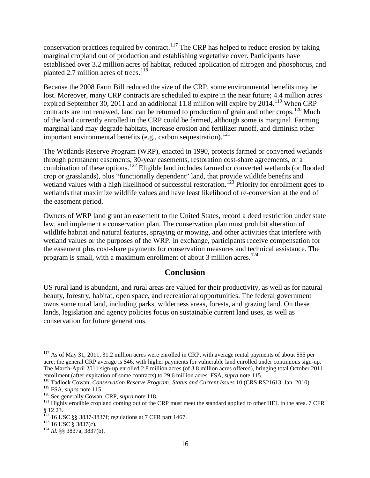conservation practices required by contract.<sup>[117](#page-15-0)</sup> The CRP has helped to reduce erosion by taking marginal cropland out of production and establishing vegetative cover. Participants have established over 3.2 million acres of habitat, reduced application of nitrogen and phosphorus, and planted 2.7 million acres of trees.<sup>[118](#page-15-1)</sup>

Because the 2008 Farm Bill reduced the size of the CRP, some environmental benefits may be lost. Moreover, many CRP contracts are scheduled to expire in the near future; 4.4 million acres expired September 30, 2011 and an additional 11.8 million will expire by 2014.<sup>[119](#page-15-2)</sup> When CRP contracts are not renewed, land can be returned to production of grain and other crops.<sup>[120](#page-15-3)</sup> Much of the land currently enrolled in the CRP could be farmed, although some is marginal. Farming marginal land may degrade habitats, increase erosion and fertilizer runoff, and diminish other important environmental benefits (e.g., carbon sequestration).<sup>[121](#page-15-4)</sup>

The Wetlands Reserve Program (WRP), enacted in 1990, protects farmed or converted wetlands through permanent easements, 30-year easements, restoration cost-share agreements, or a combination of these options.<sup>[122](#page-15-5)</sup> Eligible land includes farmed or converted wetlands (or flooded crop or grasslands), plus "functionally dependent" land, that provide wildlife benefits and wetland values with a high likelihood of successful restoration.<sup>[123](#page-15-6)</sup> Priority for enrollment goes to wetlands that maximize wildlife values and have least likelihood of re-conversion at the end of the easement period.

Owners of WRP land grant an easement to the United States, record a deed restriction under state law, and implement a conservation plan. The conservation plan must prohibit alteration of wildlife habitat and natural features, spraying or mowing, and other activities that interfere with wetland values or the purposes of the WRP. In exchange, participants receive compensation for the easement plus cost-share payments for conservation measures and technical assistance. The program is small, with a maximum enrollment of about 3 million acres.<sup>[124](#page-15-7)</sup>

## **Conclusion**

US rural land is abundant, and rural areas are valued for their productivity, as well as for natural beauty, forestry, habitat, open space, and recreational opportunities. The federal government owns some rural land, including parks, wilderness areas, forests, and grazing land. On these lands, legislation and agency policies focus on sustainable current land uses, as well as conservation for future generations.

<span id="page-15-0"></span><sup>&</sup>lt;sup>117</sup> As of May 31, 2011, 31.2 million acres were enrolled in CRP, with average rental payments of about \$55 per acre; the general CRP average is \$46, with higher payments for vulnerable land enrolled under continuous sign-up. The March-April 2011 sign-up enrolled 2.8 million acres (of 3.8 million acres offered), bringing total October 2011 enrollment (after expiration of some contracts) to 29.6 million acres. FSA, *supra* note 115.

<span id="page-15-1"></span><sup>&</sup>lt;sup>118</sup> Tadlock Cowan, *Conservation Reserve Program: Status and Current Issues* 10 (CRS RS21613, Jan. 2010).<br><sup>119</sup> FSA, *supra* note 115.

<span id="page-15-4"></span><span id="page-15-3"></span><span id="page-15-2"></span><sup>&</sup>lt;sup>120</sup> See generally Cowan, CRP, *supra* note 118.<br><sup>121</sup> Highly erodible cropland coming out of the CRP must meet the standard applied to other HEL in the area. 7 CFR § 12.23.

<span id="page-15-6"></span><span id="page-15-5"></span><sup>&</sup>lt;sup>122</sup> 16 USC §§ 3837-3837f; regulations at 7 CFR part 1467.<br><sup>123</sup> 16 USC § 3837(c).<br><sup>124</sup> *Id*. §§ 3837a, 3837(b).

<span id="page-15-7"></span>